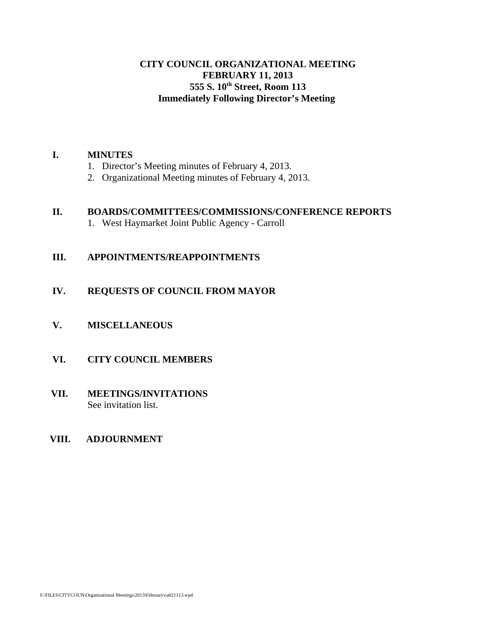# **CITY COUNCIL ORGANIZATIONAL MEETING FEBRUARY 11, 2013 555 S. 10th Street, Room 113 Immediately Following Director's Meeting**

#### **I. MINUTES**

- 1. Director's Meeting minutes of February 4, 2013.
- 2. Organizational Meeting minutes of February 4, 2013.

## **II. BOARDS/COMMITTEES/COMMISSIONS/CONFERENCE REPORTS**

1. West Haymarket Joint Public Agency - Carroll

# **III. APPOINTMENTS/REAPPOINTMENTS**

# **IV. REQUESTS OF COUNCIL FROM MAYOR**

**V. MISCELLANEOUS**

# **VI. CITY COUNCIL MEMBERS**

# **VII. MEETINGS/INVITATIONS** See invitation list.

### **VIII. ADJOURNMENT**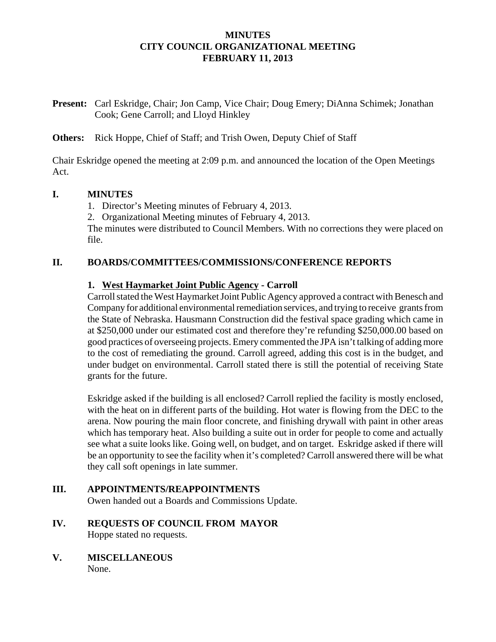# **MINUTES CITY COUNCIL ORGANIZATIONAL MEETING FEBRUARY 11, 2013**

**Present:** Carl Eskridge, Chair; Jon Camp, Vice Chair; Doug Emery; DiAnna Schimek; Jonathan Cook; Gene Carroll; and Lloyd Hinkley

**Others:** Rick Hoppe, Chief of Staff; and Trish Owen, Deputy Chief of Staff

Chair Eskridge opened the meeting at 2:09 p.m. and announced the location of the Open Meetings Act.

#### **I. MINUTES**

1. Director's Meeting minutes of February 4, 2013.

2. Organizational Meeting minutes of February 4, 2013.

The minutes were distributed to Council Members. With no corrections they were placed on file.

# **II. BOARDS/COMMITTEES/COMMISSIONS/CONFERENCE REPORTS**

# **1. West Haymarket Joint Public Agency - Carroll**

Carroll stated the West Haymarket Joint Public Agency approved a contract with Benesch and Company for additional environmental remediation services, and trying to receive grants from the State of Nebraska. Hausmann Construction did the festival space grading which came in at \$250,000 under our estimated cost and therefore they're refunding \$250,000.00 based on good practices of overseeing projects. Emery commented the JPA isn't talking of adding more to the cost of remediating the ground. Carroll agreed, adding this cost is in the budget, and under budget on environmental. Carroll stated there is still the potential of receiving State grants for the future.

Eskridge asked if the building is all enclosed? Carroll replied the facility is mostly enclosed, with the heat on in different parts of the building. Hot water is flowing from the DEC to the arena. Now pouring the main floor concrete, and finishing drywall with paint in other areas which has temporary heat. Also building a suite out in order for people to come and actually see what a suite looks like. Going well, on budget, and on target. Eskridge asked if there will be an opportunity to see the facility when it's completed? Carroll answered there will be what they call soft openings in late summer.

#### **III. APPOINTMENTS/REAPPOINTMENTS** Owen handed out a Boards and Commissions Update.

- **IV. REQUESTS OF COUNCIL FROM MAYOR** Hoppe stated no requests.
- **V. MISCELLANEOUS** None.